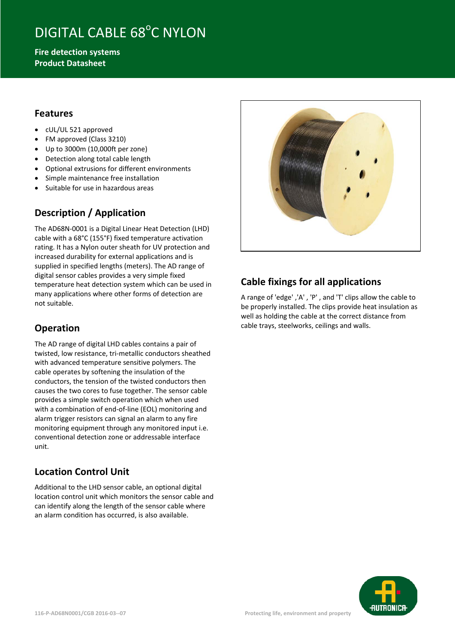# DIGITAL CABLE 68°C NYLON

**Fire detection systems Product Datasheet**

### **Features**

- cUL/UL 521 approved
- FM approved (Class 3210)
- Up to 3000m (10,000ft per zone)
- Detection along total cable length
- Optional extrusions for different environments
- Simple maintenance free installation
- Suitable for use in hazardous areas

## **Description / Application**

The AD68N-0001 is a Digital Linear Heat Detection (LHD) cable with a 68°C (155°F) fixed temperature activation rating. It has a Nylon outer sheath for UV protection and increased durability for external applications and is supplied in specified lengths (meters). The AD range of digital sensor cables provides a very simple fixed temperature heat detection system which can be used in many applications where other forms of detection are not suitable.

## **Operation**

The AD range of digital LHD cables contains a pair of twisted, low resistance, tri-metallic conductors sheathed with advanced temperature sensitive polymers. The cable operates by softening the insulation of the conductors, the tension of the twisted conductors then causes the two cores to fuse together. The sensor cable provides a simple switch operation which when used with a combination of end-of-line (EOL) monitoring and alarm trigger resistors can signal an alarm to any fire monitoring equipment through any monitored input i.e. conventional detection zone or addressable interface unit.

## **Location Control Unit**

Additional to the LHD sensor cable, an optional digital location control unit which monitors the sensor cable and can identify along the length of the sensor cable where an alarm condition has occurred, is also available.



## **Cable fixings for all applications**

A range of 'edge' ,'A' , 'P' , and 'T' clips allow the cable to be properly installed. The clips provide heat insulation as well as holding the cable at the correct distance from cable trays, steelworks, ceilings and walls.